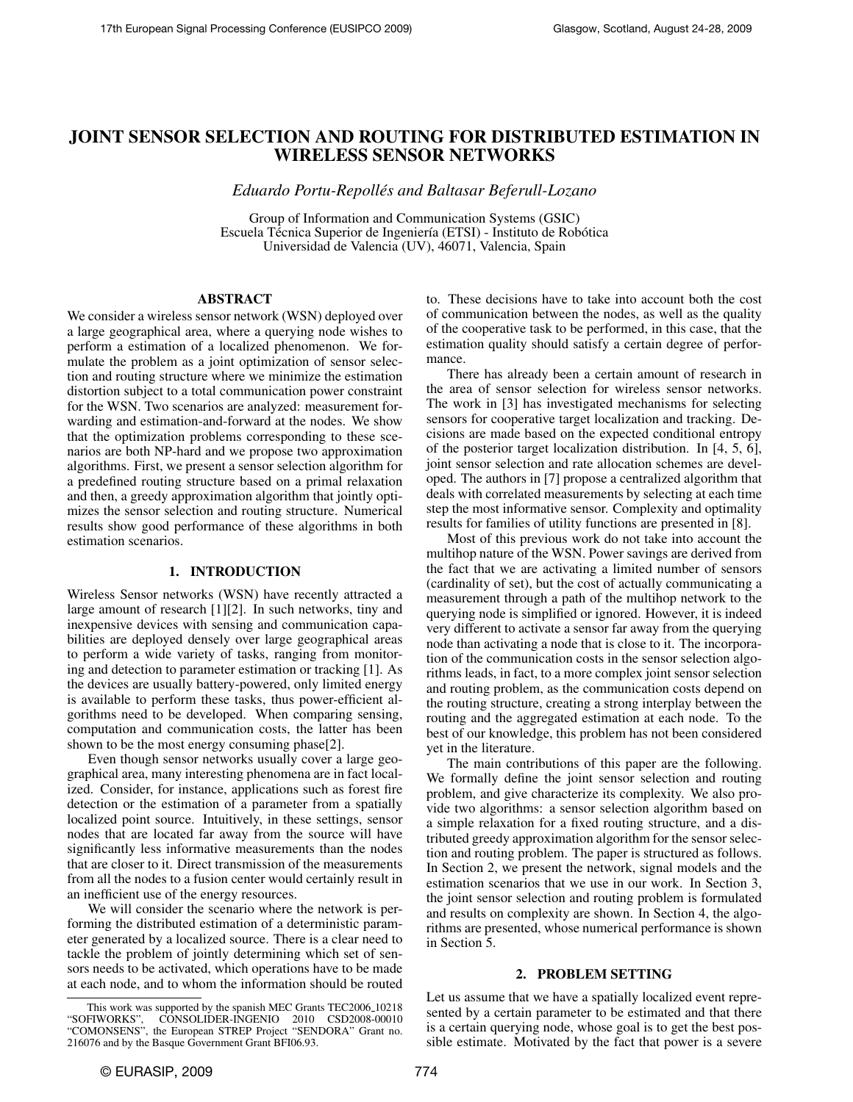# JOINT SENSOR SELECTION AND ROUTING FOR DISTRIBUTED ESTIMATION IN WIRELESS SENSOR NETWORKS

*Eduardo Portu-Repolles and Baltasar Beferull-Lozano ´*

Group of Information and Communication Systems (GSIC) Escuela Técnica Superior de Ingeniería (ETSI) - Instituto de Robótica Universidad de Valencia (UV), 46071, Valencia, Spain

## ABSTRACT

We consider a wireless sensor network (WSN) deployed over a large geographical area, where a querying node wishes to perform a estimation of a localized phenomenon. We formulate the problem as a joint optimization of sensor selection and routing structure where we minimize the estimation distortion subject to a total communication power constraint for the WSN. Two scenarios are analyzed: measurement forwarding and estimation-and-forward at the nodes. We show that the optimization problems corresponding to these scenarios are both NP-hard and we propose two approximation algorithms. First, we present a sensor selection algorithm for a predefined routing structure based on a primal relaxation and then, a greedy approximation algorithm that jointly optimizes the sensor selection and routing structure. Numerical results show good performance of these algorithms in both estimation scenarios.

## 1. INTRODUCTION

Wireless Sensor networks (WSN) have recently attracted a large amount of research [1][2]. In such networks, tiny and inexpensive devices with sensing and communication capabilities are deployed densely over large geographical areas to perform a wide variety of tasks, ranging from monitoring and detection to parameter estimation or tracking [1]. As the devices are usually battery-powered, only limited energy is available to perform these tasks, thus power-efficient algorithms need to be developed. When comparing sensing, computation and communication costs, the latter has been shown to be the most energy consuming phase[2].

Even though sensor networks usually cover a large geographical area, many interesting phenomena are in fact localized. Consider, for instance, applications such as forest fire detection or the estimation of a parameter from a spatially localized point source. Intuitively, in these settings, sensor nodes that are located far away from the source will have significantly less informative measurements than the nodes that are closer to it. Direct transmission of the measurements from all the nodes to a fusion center would certainly result in an inefficient use of the energy resources.

We will consider the scenario where the network is performing the distributed estimation of a deterministic parameter generated by a localized source. There is a clear need to tackle the problem of jointly determining which set of sensors needs to be activated, which operations have to be made at each node, and to whom the information should be routed to. These decisions have to take into account both the cost of communication between the nodes, as well as the quality of the cooperative task to be performed, in this case, that the estimation quality should satisfy a certain degree of performance.

There has already been a certain amount of research in the area of sensor selection for wireless sensor networks. The work in [3] has investigated mechanisms for selecting sensors for cooperative target localization and tracking. Decisions are made based on the expected conditional entropy of the posterior target localization distribution. In [4, 5, 6], joint sensor selection and rate allocation schemes are developed. The authors in [7] propose a centralized algorithm that deals with correlated measurements by selecting at each time step the most informative sensor. Complexity and optimality results for families of utility functions are presented in [8].

Most of this previous work do not take into account the multihop nature of the WSN. Power savings are derived from the fact that we are activating a limited number of sensors (cardinality of set), but the cost of actually communicating a measurement through a path of the multihop network to the querying node is simplified or ignored. However, it is indeed very different to activate a sensor far away from the querying node than activating a node that is close to it. The incorporation of the communication costs in the sensor selection algorithms leads, in fact, to a more complex joint sensor selection and routing problem, as the communication costs depend on the routing structure, creating a strong interplay between the routing and the aggregated estimation at each node. To the best of our knowledge, this problem has not been considered yet in the literature.

The main contributions of this paper are the following. We formally define the joint sensor selection and routing problem, and give characterize its complexity. We also provide two algorithms: a sensor selection algorithm based on a simple relaxation for a fixed routing structure, and a distributed greedy approximation algorithm for the sensor selection and routing problem. The paper is structured as follows. In Section 2, we present the network, signal models and the estimation scenarios that we use in our work. In Section 3, the joint sensor selection and routing problem is formulated and results on complexity are shown. In Section 4, the algorithms are presented, whose numerical performance is shown in Section 5.

#### 2. PROBLEM SETTING

Let us assume that we have a spatially localized event represented by a certain parameter to be estimated and that there is a certain querying node, whose goal is to get the best possible estimate. Motivated by the fact that power is a severe

This work was supported by the spanish MEC Grants TEC2006 10218 "SOFIWORKS", CONSOLIDER-INGENIO 2010 CSD2008-00010 "COMONSENS", the European STREP Project "SENDORA" Grant no. 216076 and by the Basque Government Grant BFI06.93.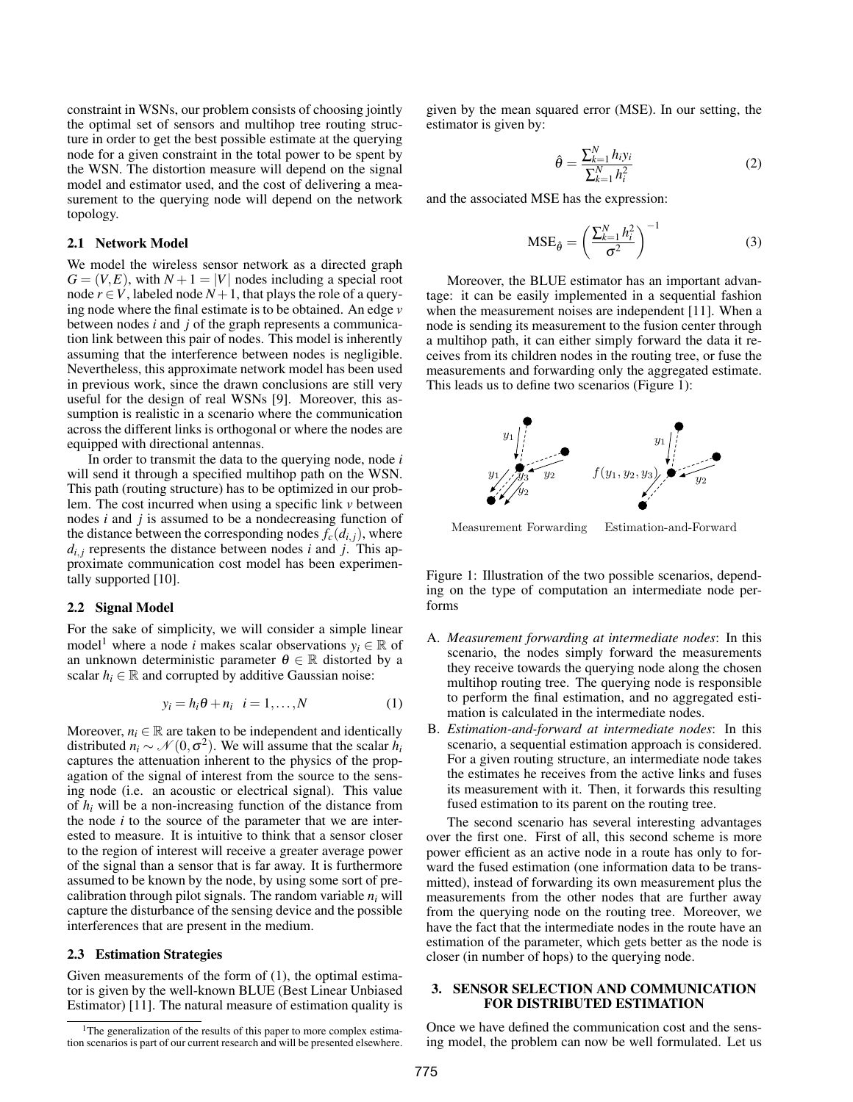constraint in WSNs, our problem consists of choosing jointly the optimal set of sensors and multihop tree routing structure in order to get the best possible estimate at the querying node for a given constraint in the total power to be spent by the WSN. The distortion measure will depend on the signal model and estimator used, and the cost of delivering a measurement to the querying node will depend on the network topology.

## 2.1 Network Model

We model the wireless sensor network as a directed graph  $G = (V, E)$ , with  $N + 1 = |V|$  nodes including a special root node  $r \in V$ , labeled node  $N+1$ , that plays the role of a querying node where the final estimate is to be obtained. An edge *v* between nodes *i* and *j* of the graph represents a communication link between this pair of nodes. This model is inherently assuming that the interference between nodes is negligible. Nevertheless, this approximate network model has been used in previous work, since the drawn conclusions are still very useful for the design of real WSNs [9]. Moreover, this assumption is realistic in a scenario where the communication across the different links is orthogonal or where the nodes are equipped with directional antennas.

In order to transmit the data to the querying node, node *i* will send it through a specified multihop path on the WSN. This path (routing structure) has to be optimized in our problem. The cost incurred when using a specific link *v* between nodes *i* and *j* is assumed to be a nondecreasing function of the distance between the corresponding nodes  $f_c(d_{i,j})$ , where  $d_{i,j}$  represents the distance between nodes *i* and *j*. This approximate communication cost model has been experimentally supported [10].

## 2.2 Signal Model

For the sake of simplicity, we will consider a simple linear model<sup>1</sup> where a node *i* makes scalar observations  $y_i \in \mathbb{R}$  of an unknown deterministic parameter  $\theta \in \mathbb{R}$  distorted by a scalar  $h_i \in \mathbb{R}$  and corrupted by additive Gaussian noise:

$$
y_i = h_i \theta + n_i \quad i = 1, \dots, N \tag{1}
$$

Moreover,  $n_i \in \mathbb{R}$  are taken to be independent and identically distributed  $n_i \sim \mathcal{N}(0, \sigma^2)$ . We will assume that the scalar  $h_i$ captures the attenuation inherent to the physics of the propagation of the signal of interest from the source to the sensing node (i.e. an acoustic or electrical signal). This value of *h<sup>i</sup>* will be a non-increasing function of the distance from the node *i* to the source of the parameter that we are interested to measure. It is intuitive to think that a sensor closer to the region of interest will receive a greater average power of the signal than a sensor that is far away. It is furthermore assumed to be known by the node, by using some sort of precalibration through pilot signals. The random variable  $n_i$  will capture the disturbance of the sensing device and the possible interferences that are present in the medium.

## 2.3 Estimation Strategies

Given measurements of the form of (1), the optimal estimator is given by the well-known BLUE (Best Linear Unbiased Estimator) [11]. The natural measure of estimation quality is given by the mean squared error (MSE). In our setting, the estimator is given by:

$$
\hat{\theta} = \frac{\sum_{k=1}^{N} h_i y_i}{\sum_{k=1}^{N} h_i^2}
$$
 (2)

and the associated MSE has the expression:

$$
MSE_{\hat{\theta}} = \left(\frac{\sum_{k=1}^{N} h_i^2}{\sigma^2}\right)^{-1}
$$
 (3)

Moreover, the BLUE estimator has an important advantage: it can be easily implemented in a sequential fashion when the measurement noises are independent [11]. When a node is sending its measurement to the fusion center through a multihop path, it can either simply forward the data it receives from its children nodes in the routing tree, or fuse the measurements and forwarding only the aggregated estimate. This leads us to define two scenarios (Figure 1):



Measurement Forwarding Estimation-and-Forward

Figure 1: Illustration of the two possible scenarios, depending on the type of computation an intermediate node performs

- A. *Measurement forwarding at intermediate nodes*: In this scenario, the nodes simply forward the measurements they receive towards the querying node along the chosen multihop routing tree. The querying node is responsible to perform the final estimation, and no aggregated estimation is calculated in the intermediate nodes.
- B. *Estimation-and-forward at intermediate nodes*: In this scenario, a sequential estimation approach is considered. For a given routing structure, an intermediate node takes the estimates he receives from the active links and fuses its measurement with it. Then, it forwards this resulting fused estimation to its parent on the routing tree.

The second scenario has several interesting advantages over the first one. First of all, this second scheme is more power efficient as an active node in a route has only to forward the fused estimation (one information data to be transmitted), instead of forwarding its own measurement plus the measurements from the other nodes that are further away from the querying node on the routing tree. Moreover, we have the fact that the intermediate nodes in the route have an estimation of the parameter, which gets better as the node is closer (in number of hops) to the querying node.

## 3. SENSOR SELECTION AND COMMUNICATION FOR DISTRIBUTED ESTIMATION

Once we have defined the communication cost and the sensing model, the problem can now be well formulated. Let us

<sup>&</sup>lt;sup>1</sup>The generalization of the results of this paper to more complex estimation scenarios is part of our current research and will be presented elsewhere.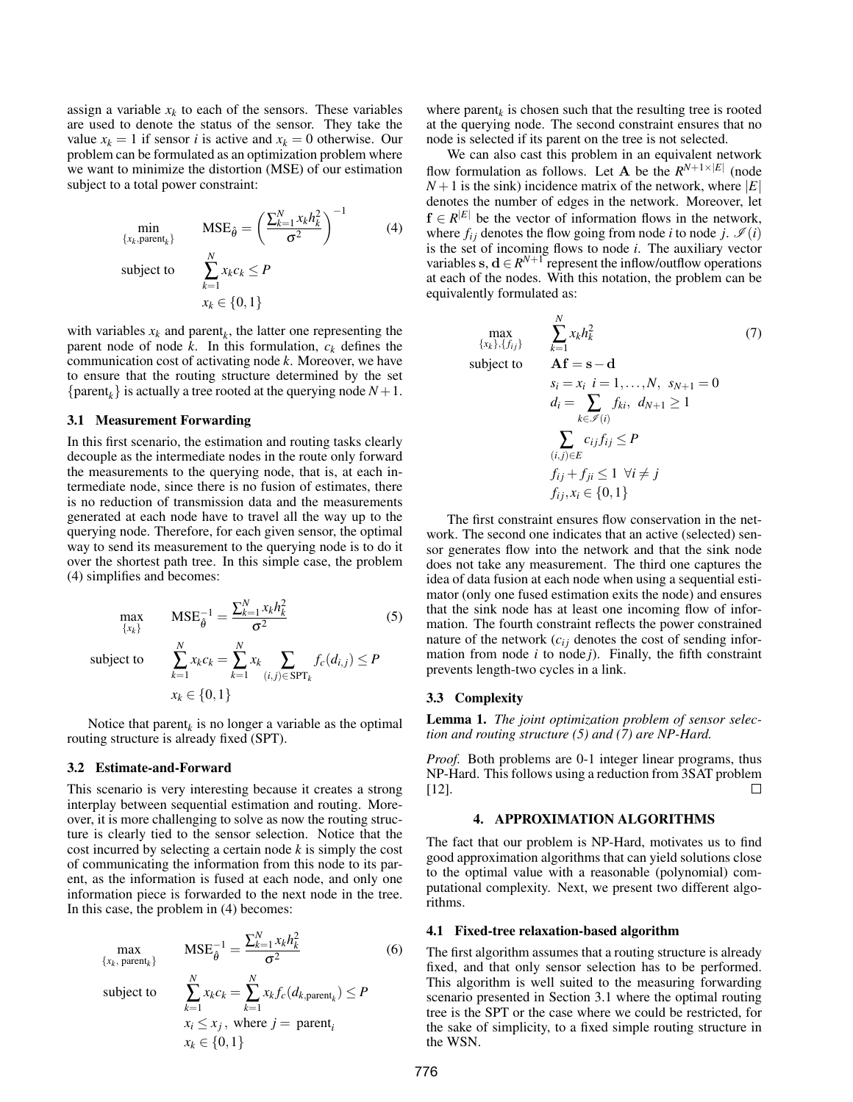assign a variable  $x_k$  to each of the sensors. These variables are used to denote the status of the sensor. They take the value  $x_k = 1$  if sensor *i* is active and  $x_k = 0$  otherwise. Our problem can be formulated as an optimization problem where we want to minimize the distortion (MSE) of our estimation subject to a total power constraint:

$$
\min_{\{x_k, \text{parent}_k\}} \text{MSE}_{\hat{\theta}} = \left(\frac{\sum_{k=1}^N x_k h_k^2}{\sigma^2}\right)^{-1} \tag{4}
$$
\n
$$
\text{subject to} \quad \sum_{k=1}^N x_k c_k \le P
$$
\n
$$
x_k \in \{0, 1\}
$$

with variables  $x_k$  and parent<sub> $k$ </sub>, the latter one representing the parent node of node  $k$ . In this formulation,  $c_k$  defines the communication cost of activating node *k*. Moreover, we have to ensure that the routing structure determined by the set  ${parent<sub>k</sub>}$  is actually a tree rooted at the querying node  $N+1$ .

## 3.1 Measurement Forwarding

In this first scenario, the estimation and routing tasks clearly decouple as the intermediate nodes in the route only forward the measurements to the querying node, that is, at each intermediate node, since there is no fusion of estimates, there is no reduction of transmission data and the measurements generated at each node have to travel all the way up to the querying node. Therefore, for each given sensor, the optimal way to send its measurement to the querying node is to do it over the shortest path tree. In this simple case, the problem (4) simplifies and becomes:

$$
\max_{\{x_k\}} \qquad \text{MSE}_{\hat{\theta}}^{-1} = \frac{\sum_{k=1}^{N} x_k h_k^2}{\sigma^2} \tag{5}
$$

subject to

$$
\sum_{k=1} x_k c_k = \sum_{k=1} x_k \sum_{(i,j) \in \text{SPT}_k} f_c(d_{i,j})
$$
  

$$
x_k \in \{0, 1\}
$$

Notice that parent<sub> $k$ </sub> is no longer a variable as the optimal routing structure is already fixed (SPT).

*N*

#### 3.2 Estimate-and-Forward

*N*

This scenario is very interesting because it creates a strong interplay between sequential estimation and routing. Moreover, it is more challenging to solve as now the routing structure is clearly tied to the sensor selection. Notice that the cost incurred by selecting a certain node *k* is simply the cost of communicating the information from this node to its parent, as the information is fused at each node, and only one information piece is forwarded to the next node in the tree. In this case, the problem in (4) becomes:

$$
\max_{\{x_k, \text{ parent}_k\}} \text{MSE}_{\hat{\theta}}^{-1} = \frac{\sum_{k=1}^{N} x_k h_k^2}{\sigma^2} \tag{6}
$$
\n
$$
\text{subject to} \quad \sum_{k=1}^{N} x_k c_k = \sum_{k=1}^{N} x_k f_c(d_{k, \text{parent}_k}) \le P
$$
\n
$$
x_i \le x_j, \text{ where } j = \text{parent}_i
$$
\n
$$
x_k \in \{0, 1\}
$$

where  $parent_k$  is chosen such that the resulting tree is rooted at the querying node. The second constraint ensures that no node is selected if its parent on the tree is not selected.

We can also cast this problem in an equivalent network flow formulation as follows. Let **A** be the  $R^{N+1\times |E|}$  (node  $N+1$  is the sink) incidence matrix of the network, where  $|E|$ denotes the number of edges in the network. Moreover, let  $f \in R^{|E|}$  be the vector of information flows in the network, where  $f_{ij}$  denotes the flow going from node *i* to node *j*.  $\mathcal{I}(i)$ is the set of incoming flows to node *i*. The auxiliary vector variables s,  $\mathbf{d} \in \mathbb{R}^{N+1}$  represent the inflow/outflow operations at each of the nodes. With this notation, the problem can be equivalently formulated as:

$$
\begin{aligned}\n\max_{\{x_k\}, \{f_{ij}\}} & \sum_{k=1}^N x_k h_k^2 & \tag{7} \\
\text{subject to} & \mathbf{A} \mathbf{f} = \mathbf{s} - \mathbf{d} \\
& s_i = x_i \quad i = 1, \dots, N, \quad s_{N+1} = 0 \\
& d_i = \sum_{k \in \mathcal{I}(i)} f_{ki}, \quad d_{N+1} \ge 1 \\
& \sum_{(i,j) \in E} c_{ij} f_{ij} \le P \\
& f_{ij} + f_{ji} \le 1 \quad \forall i \ne j \\
& f_{ij}, x_i \in \{0, 1\}\n\end{aligned}
$$

The first constraint ensures flow conservation in the network. The second one indicates that an active (selected) sensor generates flow into the network and that the sink node does not take any measurement. The third one captures the idea of data fusion at each node when using a sequential estimator (only one fused estimation exits the node) and ensures that the sink node has at least one incoming flow of information. The fourth constraint reflects the power constrained nature of the network  $(c_{ij}$  denotes the cost of sending information from node  $i$  to node  $j$ ). Finally, the fifth constraint prevents length-two cycles in a link.

## 3.3 Complexity

 $\leq P$ 

Lemma 1. *The joint optimization problem of sensor selection and routing structure (5) and (7) are NP-Hard.*

*Proof.* Both problems are 0-1 integer linear programs, thus NP-Hard. This follows using a reduction from 3SAT problem [12].  $\Box$ 

## 4. APPROXIMATION ALGORITHMS

The fact that our problem is NP-Hard, motivates us to find good approximation algorithms that can yield solutions close to the optimal value with a reasonable (polynomial) computational complexity. Next, we present two different algorithms.

#### 4.1 Fixed-tree relaxation-based algorithm

The first algorithm assumes that a routing structure is already fixed, and that only sensor selection has to be performed. This algorithm is well suited to the measuring forwarding scenario presented in Section 3.1 where the optimal routing tree is the SPT or the case where we could be restricted, for the sake of simplicity, to a fixed simple routing structure in the WSN.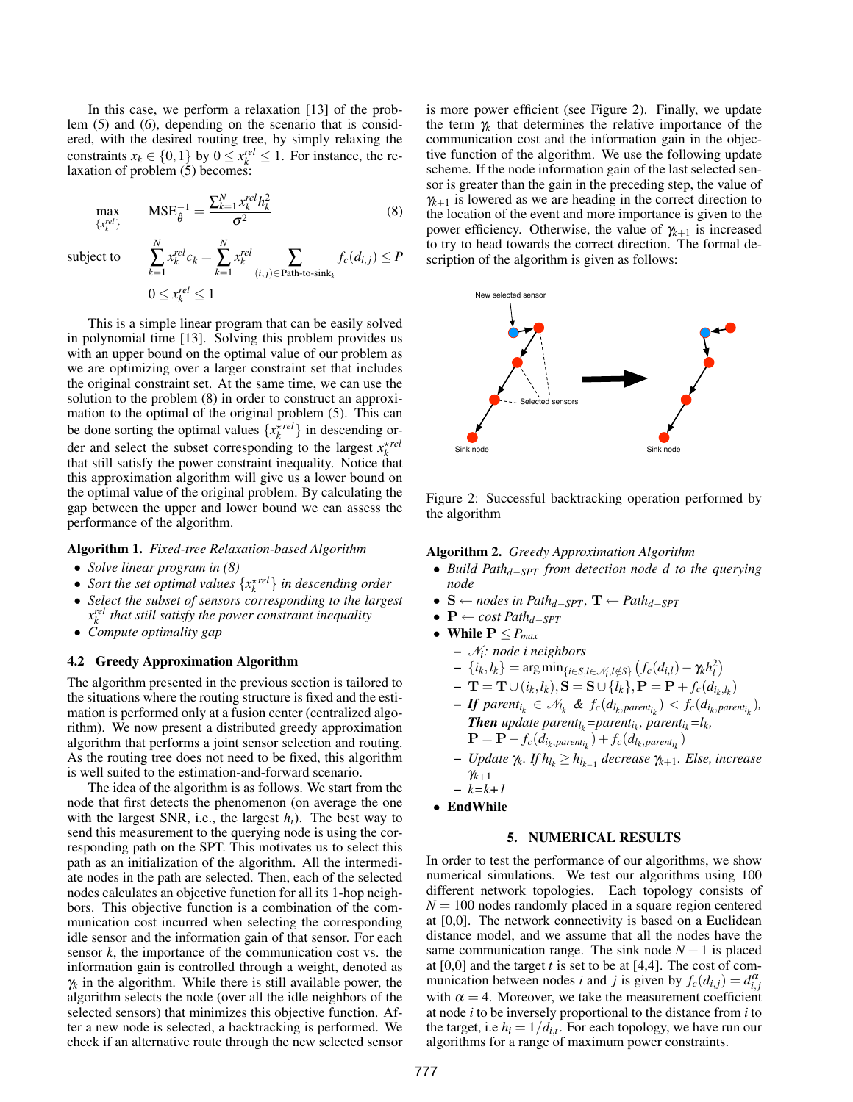In this case, we perform a relaxation [13] of the problem (5) and (6), depending on the scenario that is considered, with the desired routing tree, by simply relaxing the constraints  $x_k \in \{0,1\}$  by  $0 \le x_k^{rel} \le 1$ . For instance, the relaxation of problem  $(5)$  becomes:

$$
\max_{\{x_k^{rel}\}} \text{MSE}_{\hat{\theta}}^{-1} = \frac{\sum_{k=1}^N x_k^{rel} h_k^2}{\sigma^2} \tag{8}
$$

 $f_c(d_{i,j}) \leq P$ 

subject to

$$
\sum_{k=1}^{N} x_k^{rel} c_k = \sum_{k=1}^{N} x_k^{rel}
$$
\n
$$
0 \le x_k^{rel} \le 1
$$
\n
$$
0 \le x_k^{rel} \le 1
$$

*N*

This is a simple linear program that can be easily solved in polynomial time [13]. Solving this problem provides us with an upper bound on the optimal value of our problem as we are optimizing over a larger constraint set that includes the original constraint set. At the same time, we can use the solution to the problem (8) in order to construct an approximation to the optimal of the original problem (5). This can be done sorting the optimal values  $\{x_k^{\star rel}\}\$ in descending order and select the subset corresponding to the largest  $x_k^{x \text{ rel}}$ that still satisfy the power constraint inequality. Notice that this approximation algorithm will give us a lower bound on the optimal value of the original problem. By calculating the gap between the upper and lower bound we can assess the performance of the algorithm.

## Algorithm 1. *Fixed-tree Relaxation-based Algorithm*

- *Solve linear program in (8)*
- *Sort the set optimal values*  $\{x_k^{\star rel}\}$  *in descending order*
- *Select the subset of sensors corresponding to the largest x rel k that still satisfy the power constraint inequality*
- *Compute optimality gap*

## 4.2 Greedy Approximation Algorithm

The algorithm presented in the previous section is tailored to the situations where the routing structure is fixed and the estimation is performed only at a fusion center (centralized algorithm). We now present a distributed greedy approximation algorithm that performs a joint sensor selection and routing. As the routing tree does not need to be fixed, this algorithm is well suited to the estimation-and-forward scenario.

The idea of the algorithm is as follows. We start from the node that first detects the phenomenon (on average the one with the largest SNR, i.e., the largest  $h_i$ ). The best way to send this measurement to the querying node is using the corresponding path on the SPT. This motivates us to select this path as an initialization of the algorithm. All the intermediate nodes in the path are selected. Then, each of the selected nodes calculates an objective function for all its 1-hop neighbors. This objective function is a combination of the communication cost incurred when selecting the corresponding idle sensor and the information gain of that sensor. For each sensor *k*, the importance of the communication cost vs. the information gain is controlled through a weight, denoted as  $\gamma_k$  in the algorithm. While there is still available power, the algorithm selects the node (over all the idle neighbors of the selected sensors) that minimizes this objective function. After a new node is selected, a backtracking is performed. We check if an alternative route through the new selected sensor is more power efficient (see Figure 2). Finally, we update the term  $\gamma_k$  that determines the relative importance of the communication cost and the information gain in the objective function of the algorithm. We use the following update scheme. If the node information gain of the last selected sensor is greater than the gain in the preceding step, the value of  $\gamma_{k+1}$  is lowered as we are heading in the correct direction to the location of the event and more importance is given to the power efficiency. Otherwise, the value of  $\gamma_{k+1}$  is increased to try to head towards the correct direction. The formal description of the algorithm is given as follows:



Figure 2: Successful backtracking operation performed by the algorithm

Algorithm 2. *Greedy Approximation Algorithm*

- *Build Pathd*−*SPT from detection node d to the querying node*
- $S \leftarrow$  *nodes in Path*<sub>*d*−*SPT*</sub>,  $T \leftarrow$  *Path*<sub>*d*−*SPT*</sub>
- P ← *cost Pathd*−*SPT*
- While  $P \leq P_{max}$ 
	- N*i: node i neighbors*
	- $\{i_k, l_k\} = \arg \min_{\{i \in S, l \in \mathcal{N}_i, l \notin S\}} (f_c(d_{i,l}) \gamma_k h_l^2)$
	- $-$  **T** = **T**  $\cup$  ( $i_k$ ,  $l_k$ ), **S** = **S**  $\cup$  { $l_k$ }, **P** = **P** +  $f_c$ ( $d_{i_k, l_k}$ )
	- **-** If parent<sub>ik</sub>  $\in$   $\mathcal{N}_{l_k}$  &  $f_c(d_{l_k,parent_{l_k}}) < f_c(d_{i_k,parent_{l_k}})$ , *Then* update parent<sub>l<sub>k</sub></sub>=parent<sub>i<sub>k</sub></sub>, parent<sub>i<sub>k</sub></sub>=l<sub>k</sub>,  $\mathbf{P} = \mathbf{P} - f_c(d_{i_k, parent_{i_k}}) + f_c(d_{l_k, parent_{i_k}})$
	- *Update* γ*<sup>k</sup> . If hl<sup>k</sup>* ≥ *hlk*−<sup>1</sup> *decrease* γ*k*+1*. Else, increase* γ*k*+1
	- *k=k+1*
- EndWhile

# 5. NUMERICAL RESULTS

In order to test the performance of our algorithms, we show numerical simulations. We test our algorithms using 100 different network topologies. Each topology consists of  $N = 100$  nodes randomly placed in a square region centered at [0,0]. The network connectivity is based on a Euclidean distance model, and we assume that all the nodes have the same communication range. The sink node  $N+1$  is placed at [0,0] and the target *t* is set to be at [4,4]. The cost of communication between nodes *i* and *j* is given by  $f_c(d_{i,j}) = d_{i,j}^{\alpha}$ with  $\alpha = 4$ . Moreover, we take the measurement coefficient at node *i* to be inversely proportional to the distance from *i* to the target, i.e  $h_i = 1/d_{i,t}$ . For each topology, we have run our algorithms for a range of maximum power constraints.